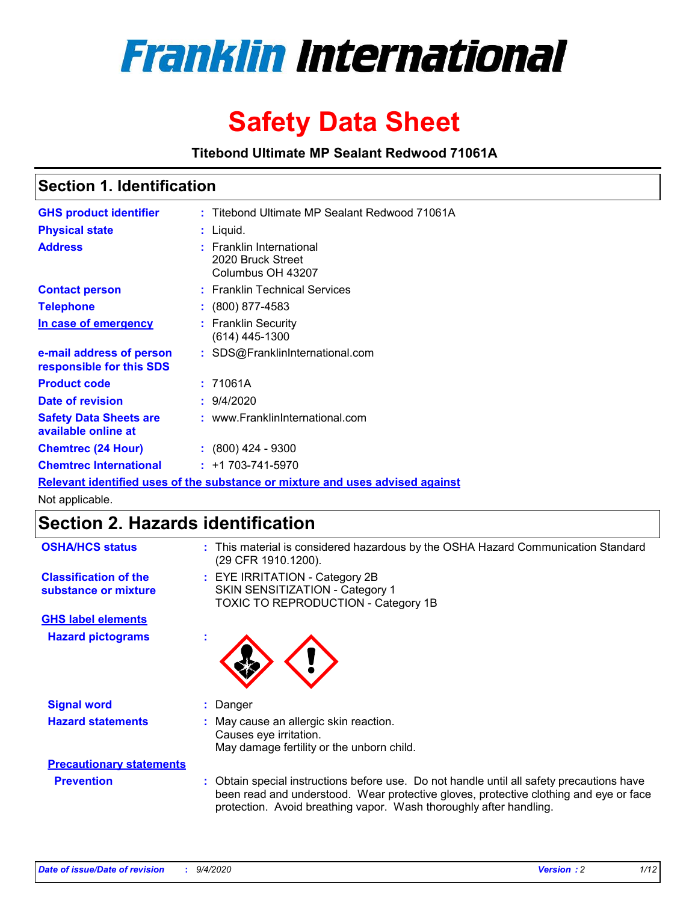

# **Safety Data Sheet**

**Titebond Ultimate MP Sealant Redwood 71061A**

### **Section 1. Identification**

| <b>GHS product identifier</b>                        | : Titebond Ultimate MP Sealant Redwood 71061A                                 |
|------------------------------------------------------|-------------------------------------------------------------------------------|
| <b>Physical state</b>                                | : Liquid.                                                                     |
| <b>Address</b>                                       | <b>Franklin International</b><br>2020 Bruck Street<br>Columbus OH 43207       |
| <b>Contact person</b>                                | : Franklin Technical Services                                                 |
| <b>Telephone</b>                                     | $\div$ (800) 877-4583                                                         |
| In case of emergency                                 | : Franklin Security<br>$(614)$ 445-1300                                       |
| e-mail address of person<br>responsible for this SDS | : SDS@FranklinInternational.com                                               |
| <b>Product code</b>                                  | : 71061A                                                                      |
| Date of revision                                     | : 9/4/2020                                                                    |
| <b>Safety Data Sheets are</b><br>available online at | : www.FranklinInternational.com                                               |
| <b>Chemtrec (24 Hour)</b>                            | $: (800)$ 424 - 9300                                                          |
| <b>Chemtrec International</b>                        | $: +1703 - 741 - 5970$                                                        |
|                                                      | Relevant identified uses of the substance or mixture and uses advised against |

Not applicable.

### **Section 2. Hazards identification**

| <b>OSHA/HCS status</b>                               |    | : This material is considered hazardous by the OSHA Hazard Communication Standard<br>(29 CFR 1910.1200).                                                                                                                                                 |
|------------------------------------------------------|----|----------------------------------------------------------------------------------------------------------------------------------------------------------------------------------------------------------------------------------------------------------|
| <b>Classification of the</b><br>substance or mixture |    | : EYE IRRITATION - Category 2B<br>SKIN SENSITIZATION - Category 1<br>TOXIC TO REPRODUCTION - Category 1B                                                                                                                                                 |
| <b>GHS label elements</b>                            |    |                                                                                                                                                                                                                                                          |
| <b>Hazard pictograms</b>                             | ×. |                                                                                                                                                                                                                                                          |
| <b>Signal word</b>                                   | t. | Danger                                                                                                                                                                                                                                                   |
| <b>Hazard statements</b>                             |    | May cause an allergic skin reaction.<br>Causes eye irritation.<br>May damage fertility or the unborn child.                                                                                                                                              |
| <b>Precautionary statements</b>                      |    |                                                                                                                                                                                                                                                          |
| <b>Prevention</b>                                    |    | : Obtain special instructions before use. Do not handle until all safety precautions have<br>been read and understood. Wear protective gloves, protective clothing and eye or face<br>protection. Avoid breathing vapor. Wash thoroughly after handling. |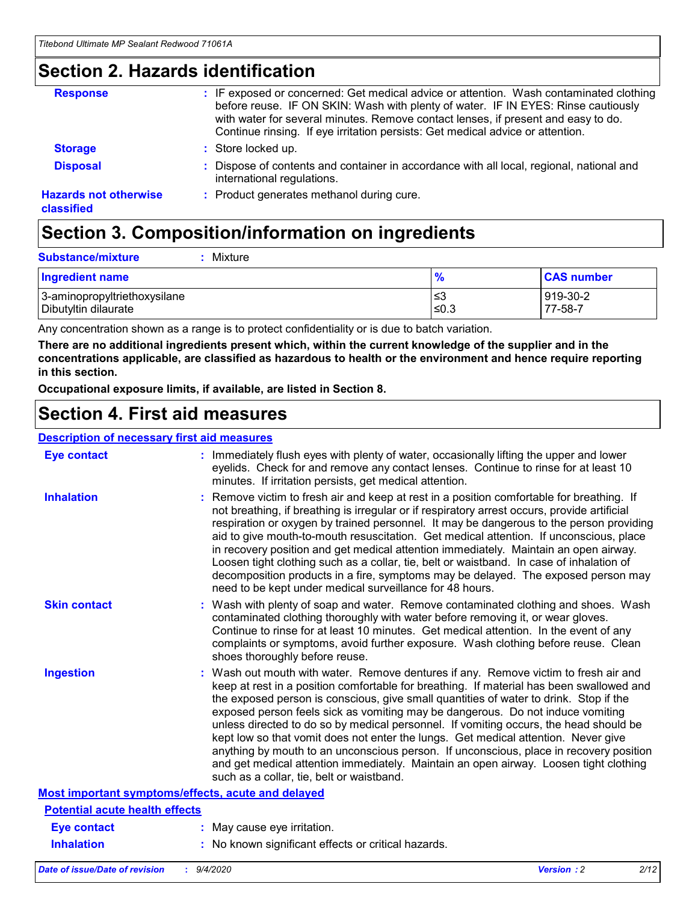### **Section 2. Hazards identification**

| <b>Response</b>                            | : IF exposed or concerned: Get medical advice or attention. Wash contaminated clothing<br>before reuse. IF ON SKIN: Wash with plenty of water. IF IN EYES: Rinse cautiously<br>with water for several minutes. Remove contact lenses, if present and easy to do.<br>Continue rinsing. If eye irritation persists: Get medical advice or attention. |
|--------------------------------------------|----------------------------------------------------------------------------------------------------------------------------------------------------------------------------------------------------------------------------------------------------------------------------------------------------------------------------------------------------|
| <b>Storage</b>                             | : Store locked up.                                                                                                                                                                                                                                                                                                                                 |
| <b>Disposal</b>                            | : Dispose of contents and container in accordance with all local, regional, national and<br>international regulations.                                                                                                                                                                                                                             |
| <b>Hazards not otherwise</b><br>classified | : Product generates methanol during cure.                                                                                                                                                                                                                                                                                                          |

# **Section 3. Composition/information on ingredients**

| $:$ Mixture |
|-------------|
|             |

| <b>Ingredient name</b>       | $\frac{9}{6}$ | <b>CAS number</b> |
|------------------------------|---------------|-------------------|
| 3-aminopropyltriethoxysilane | ≤3            | 919-30-2          |
| Dibutyltin dilaurate         | ∣≤0.3         | 77-58-7           |

Any concentration shown as a range is to protect confidentiality or is due to batch variation.

**There are no additional ingredients present which, within the current knowledge of the supplier and in the concentrations applicable, are classified as hazardous to health or the environment and hence require reporting in this section.**

**Occupational exposure limits, if available, are listed in Section 8.**

### **Section 4. First aid measures**

| <b>Description of necessary first aid measures</b> |                                                                                                                                                                                                                                                                                                                                                                                                                                                                                                                                                                                                                                                                                                                                                                           |
|----------------------------------------------------|---------------------------------------------------------------------------------------------------------------------------------------------------------------------------------------------------------------------------------------------------------------------------------------------------------------------------------------------------------------------------------------------------------------------------------------------------------------------------------------------------------------------------------------------------------------------------------------------------------------------------------------------------------------------------------------------------------------------------------------------------------------------------|
| <b>Eye contact</b>                                 | : Immediately flush eyes with plenty of water, occasionally lifting the upper and lower<br>eyelids. Check for and remove any contact lenses. Continue to rinse for at least 10<br>minutes. If irritation persists, get medical attention.                                                                                                                                                                                                                                                                                                                                                                                                                                                                                                                                 |
| <b>Inhalation</b>                                  | : Remove victim to fresh air and keep at rest in a position comfortable for breathing. If<br>not breathing, if breathing is irregular or if respiratory arrest occurs, provide artificial<br>respiration or oxygen by trained personnel. It may be dangerous to the person providing<br>aid to give mouth-to-mouth resuscitation. Get medical attention. If unconscious, place<br>in recovery position and get medical attention immediately. Maintain an open airway.<br>Loosen tight clothing such as a collar, tie, belt or waistband. In case of inhalation of<br>decomposition products in a fire, symptoms may be delayed. The exposed person may<br>need to be kept under medical surveillance for 48 hours.                                                       |
| <b>Skin contact</b>                                | : Wash with plenty of soap and water. Remove contaminated clothing and shoes. Wash<br>contaminated clothing thoroughly with water before removing it, or wear gloves.<br>Continue to rinse for at least 10 minutes. Get medical attention. In the event of any<br>complaints or symptoms, avoid further exposure. Wash clothing before reuse. Clean<br>shoes thoroughly before reuse.                                                                                                                                                                                                                                                                                                                                                                                     |
| <b>Ingestion</b>                                   | : Wash out mouth with water. Remove dentures if any. Remove victim to fresh air and<br>keep at rest in a position comfortable for breathing. If material has been swallowed and<br>the exposed person is conscious, give small quantities of water to drink. Stop if the<br>exposed person feels sick as vomiting may be dangerous. Do not induce vomiting<br>unless directed to do so by medical personnel. If vomiting occurs, the head should be<br>kept low so that vomit does not enter the lungs. Get medical attention. Never give<br>anything by mouth to an unconscious person. If unconscious, place in recovery position<br>and get medical attention immediately. Maintain an open airway. Loosen tight clothing<br>such as a collar, tie, belt or waistband. |
| Most important symptoms/effects, acute and delayed |                                                                                                                                                                                                                                                                                                                                                                                                                                                                                                                                                                                                                                                                                                                                                                           |
| <b>Potential acute health effects</b>              |                                                                                                                                                                                                                                                                                                                                                                                                                                                                                                                                                                                                                                                                                                                                                                           |
| <b>Eye contact</b>                                 | : May cause eye irritation.                                                                                                                                                                                                                                                                                                                                                                                                                                                                                                                                                                                                                                                                                                                                               |
| <b>Inhalation</b>                                  | : No known significant effects or critical hazards.                                                                                                                                                                                                                                                                                                                                                                                                                                                                                                                                                                                                                                                                                                                       |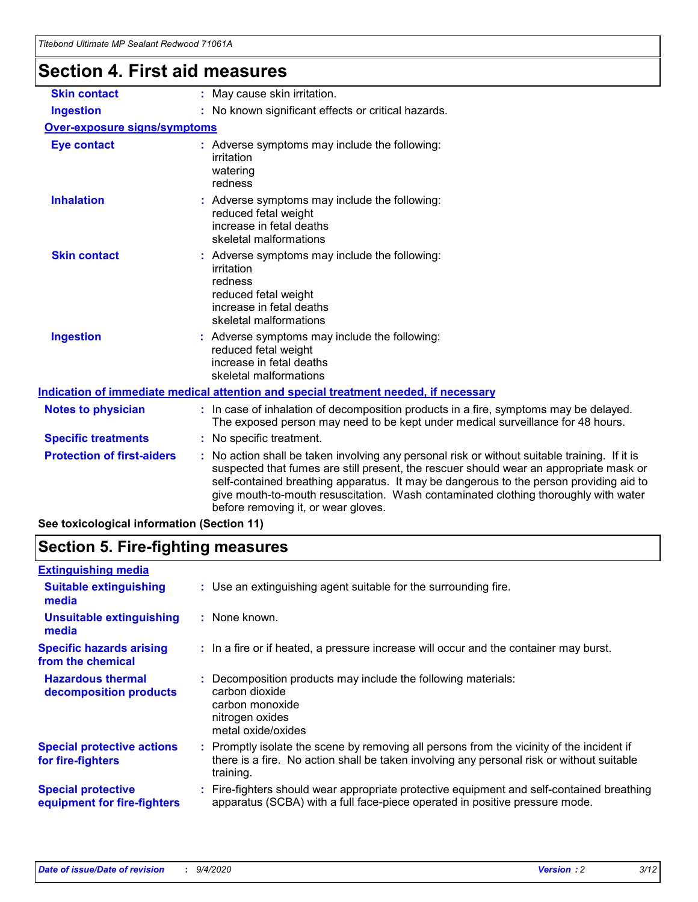# **Section 4. First aid measures**

| <b>Skin contact</b>                        | May cause skin irritation.<br>÷.                                                                                                                                                                                                                                                                                                                                                                              |
|--------------------------------------------|---------------------------------------------------------------------------------------------------------------------------------------------------------------------------------------------------------------------------------------------------------------------------------------------------------------------------------------------------------------------------------------------------------------|
| <b>Ingestion</b>                           | No known significant effects or critical hazards.                                                                                                                                                                                                                                                                                                                                                             |
| <b>Over-exposure signs/symptoms</b>        |                                                                                                                                                                                                                                                                                                                                                                                                               |
| <b>Eye contact</b>                         | : Adverse symptoms may include the following:<br>irritation<br>watering<br>redness                                                                                                                                                                                                                                                                                                                            |
| <b>Inhalation</b>                          | : Adverse symptoms may include the following:<br>reduced fetal weight<br>increase in fetal deaths<br>skeletal malformations                                                                                                                                                                                                                                                                                   |
| <b>Skin contact</b>                        | Adverse symptoms may include the following:<br>irritation<br>redness<br>reduced fetal weight<br>increase in fetal deaths<br>skeletal malformations                                                                                                                                                                                                                                                            |
| <b>Ingestion</b>                           | : Adverse symptoms may include the following:<br>reduced fetal weight<br>increase in fetal deaths<br>skeletal malformations                                                                                                                                                                                                                                                                                   |
|                                            | Indication of immediate medical attention and special treatment needed, if necessary                                                                                                                                                                                                                                                                                                                          |
| <b>Notes to physician</b>                  | : In case of inhalation of decomposition products in a fire, symptoms may be delayed.<br>The exposed person may need to be kept under medical surveillance for 48 hours.                                                                                                                                                                                                                                      |
| <b>Specific treatments</b>                 | : No specific treatment.                                                                                                                                                                                                                                                                                                                                                                                      |
| <b>Protection of first-aiders</b>          | No action shall be taken involving any personal risk or without suitable training. If it is<br>suspected that fumes are still present, the rescuer should wear an appropriate mask or<br>self-contained breathing apparatus. It may be dangerous to the person providing aid to<br>give mouth-to-mouth resuscitation. Wash contaminated clothing thoroughly with water<br>before removing it, or wear gloves. |
| See toxicological information (Section 11) |                                                                                                                                                                                                                                                                                                                                                                                                               |

# **Section 5. Fire-fighting measures**

| <b>Extinguishing media</b>                               |                                                                                                                                                                                                     |
|----------------------------------------------------------|-----------------------------------------------------------------------------------------------------------------------------------------------------------------------------------------------------|
| <b>Suitable extinguishing</b><br>media                   | : Use an extinguishing agent suitable for the surrounding fire.                                                                                                                                     |
| <b>Unsuitable extinguishing</b><br>media                 | : None known.                                                                                                                                                                                       |
| <b>Specific hazards arising</b><br>from the chemical     | : In a fire or if heated, a pressure increase will occur and the container may burst.                                                                                                               |
| <b>Hazardous thermal</b><br>decomposition products       | Decomposition products may include the following materials:<br>carbon dioxide<br>carbon monoxide<br>nitrogen oxides<br>metal oxide/oxides                                                           |
| <b>Special protective actions</b><br>for fire-fighters   | : Promptly isolate the scene by removing all persons from the vicinity of the incident if<br>there is a fire. No action shall be taken involving any personal risk or without suitable<br>training. |
| <b>Special protective</b><br>equipment for fire-fighters | Fire-fighters should wear appropriate protective equipment and self-contained breathing<br>apparatus (SCBA) with a full face-piece operated in positive pressure mode.                              |
|                                                          |                                                                                                                                                                                                     |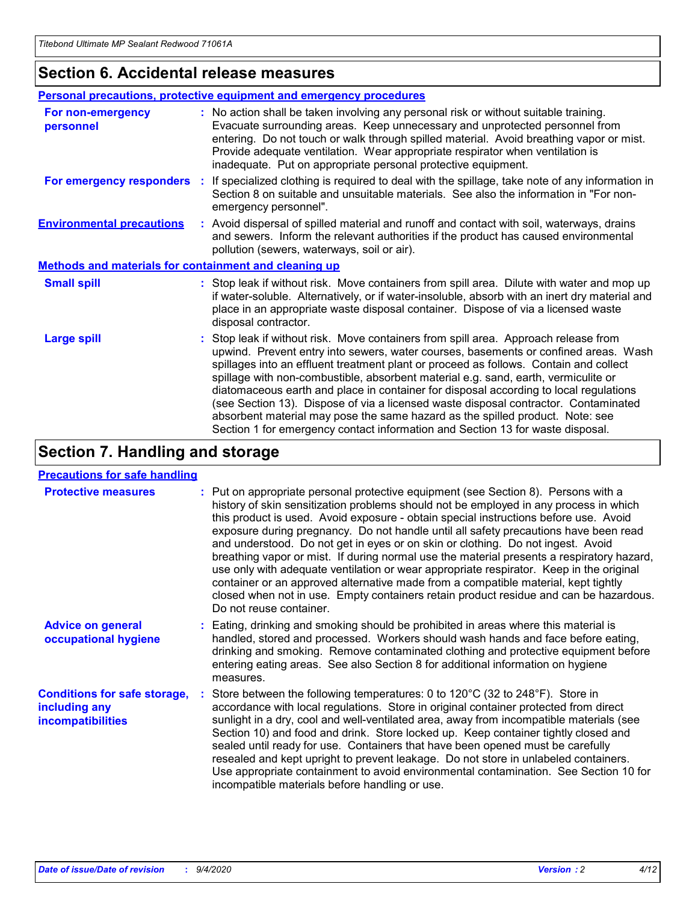### **Section 6. Accidental release measures**

|                                                              | Personal precautions, protective equipment and emergency procedures                                                                                                                                                                                                                                                                                                                                                                                                                                                                                                                                                                                                                                          |
|--------------------------------------------------------------|--------------------------------------------------------------------------------------------------------------------------------------------------------------------------------------------------------------------------------------------------------------------------------------------------------------------------------------------------------------------------------------------------------------------------------------------------------------------------------------------------------------------------------------------------------------------------------------------------------------------------------------------------------------------------------------------------------------|
| For non-emergency<br>personnel                               | : No action shall be taken involving any personal risk or without suitable training.<br>Evacuate surrounding areas. Keep unnecessary and unprotected personnel from<br>entering. Do not touch or walk through spilled material. Avoid breathing vapor or mist.<br>Provide adequate ventilation. Wear appropriate respirator when ventilation is<br>inadequate. Put on appropriate personal protective equipment.                                                                                                                                                                                                                                                                                             |
| For emergency responders                                     | : If specialized clothing is required to deal with the spillage, take note of any information in<br>Section 8 on suitable and unsuitable materials. See also the information in "For non-<br>emergency personnel".                                                                                                                                                                                                                                                                                                                                                                                                                                                                                           |
| <b>Environmental precautions</b>                             | : Avoid dispersal of spilled material and runoff and contact with soil, waterways, drains<br>and sewers. Inform the relevant authorities if the product has caused environmental<br>pollution (sewers, waterways, soil or air).                                                                                                                                                                                                                                                                                                                                                                                                                                                                              |
| <b>Methods and materials for containment and cleaning up</b> |                                                                                                                                                                                                                                                                                                                                                                                                                                                                                                                                                                                                                                                                                                              |
| <b>Small spill</b>                                           | : Stop leak if without risk. Move containers from spill area. Dilute with water and mop up<br>if water-soluble. Alternatively, or if water-insoluble, absorb with an inert dry material and<br>place in an appropriate waste disposal container. Dispose of via a licensed waste<br>disposal contractor.                                                                                                                                                                                                                                                                                                                                                                                                     |
| <b>Large spill</b>                                           | : Stop leak if without risk. Move containers from spill area. Approach release from<br>upwind. Prevent entry into sewers, water courses, basements or confined areas. Wash<br>spillages into an effluent treatment plant or proceed as follows. Contain and collect<br>spillage with non-combustible, absorbent material e.g. sand, earth, vermiculite or<br>diatomaceous earth and place in container for disposal according to local regulations<br>(see Section 13). Dispose of via a licensed waste disposal contractor. Contaminated<br>absorbent material may pose the same hazard as the spilled product. Note: see<br>Section 1 for emergency contact information and Section 13 for waste disposal. |

### **Section 7. Handling and storage**

#### **Precautions for safe handling**

| <b>Protective measures</b>                                                       | : Put on appropriate personal protective equipment (see Section 8). Persons with a<br>history of skin sensitization problems should not be employed in any process in which<br>this product is used. Avoid exposure - obtain special instructions before use. Avoid<br>exposure during pregnancy. Do not handle until all safety precautions have been read<br>and understood. Do not get in eyes or on skin or clothing. Do not ingest. Avoid<br>breathing vapor or mist. If during normal use the material presents a respiratory hazard,<br>use only with adequate ventilation or wear appropriate respirator. Keep in the original<br>container or an approved alternative made from a compatible material, kept tightly<br>closed when not in use. Empty containers retain product residue and can be hazardous.<br>Do not reuse container. |
|----------------------------------------------------------------------------------|--------------------------------------------------------------------------------------------------------------------------------------------------------------------------------------------------------------------------------------------------------------------------------------------------------------------------------------------------------------------------------------------------------------------------------------------------------------------------------------------------------------------------------------------------------------------------------------------------------------------------------------------------------------------------------------------------------------------------------------------------------------------------------------------------------------------------------------------------|
| <b>Advice on general</b><br>occupational hygiene                                 | : Eating, drinking and smoking should be prohibited in areas where this material is<br>handled, stored and processed. Workers should wash hands and face before eating,<br>drinking and smoking. Remove contaminated clothing and protective equipment before<br>entering eating areas. See also Section 8 for additional information on hygiene<br>measures.                                                                                                                                                                                                                                                                                                                                                                                                                                                                                    |
| <b>Conditions for safe storage,</b><br>including any<br><i>incompatibilities</i> | Store between the following temperatures: 0 to 120°C (32 to 248°F). Store in<br>accordance with local regulations. Store in original container protected from direct<br>sunlight in a dry, cool and well-ventilated area, away from incompatible materials (see<br>Section 10) and food and drink. Store locked up. Keep container tightly closed and<br>sealed until ready for use. Containers that have been opened must be carefully<br>resealed and kept upright to prevent leakage. Do not store in unlabeled containers.<br>Use appropriate containment to avoid environmental contamination. See Section 10 for<br>incompatible materials before handling or use.                                                                                                                                                                         |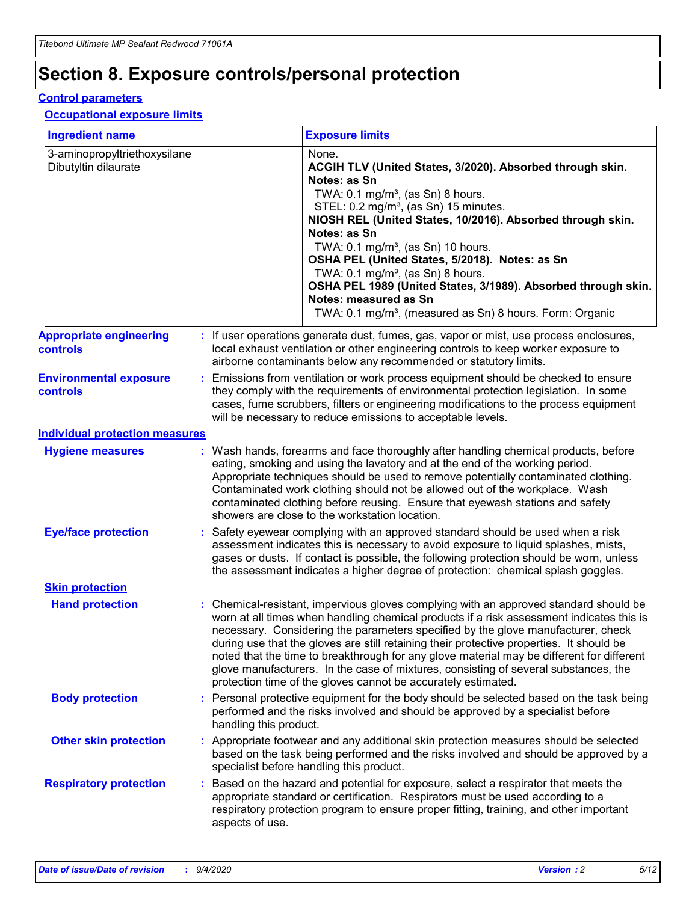## **Section 8. Exposure controls/personal protection**

#### **Control parameters**

#### **Occupational exposure limits**

| <b>Ingredient name</b>                               |    |                        | <b>Exposure limits</b>                                                                                                                                                                                                                                                                                                                                                                                                                                                                                                                                                                                                 |
|------------------------------------------------------|----|------------------------|------------------------------------------------------------------------------------------------------------------------------------------------------------------------------------------------------------------------------------------------------------------------------------------------------------------------------------------------------------------------------------------------------------------------------------------------------------------------------------------------------------------------------------------------------------------------------------------------------------------------|
| 3-aminopropyltriethoxysilane<br>Dibutyltin dilaurate |    |                        | None.<br>ACGIH TLV (United States, 3/2020). Absorbed through skin.<br>Notes: as Sn<br>TWA: $0.1 \text{ mg/m}^3$ , (as Sn) 8 hours.<br>STEL: 0.2 mg/m <sup>3</sup> , (as Sn) 15 minutes.<br>NIOSH REL (United States, 10/2016). Absorbed through skin.<br>Notes: as Sn<br>TWA: 0.1 mg/m <sup>3</sup> , (as Sn) 10 hours.<br>OSHA PEL (United States, 5/2018). Notes: as Sn<br>TWA: 0.1 mg/m <sup>3</sup> , (as Sn) 8 hours.<br>OSHA PEL 1989 (United States, 3/1989). Absorbed through skin.<br>Notes: measured as Sn<br>TWA: 0.1 mg/m <sup>3</sup> , (measured as Sn) 8 hours. Form: Organic                           |
| <b>Appropriate engineering</b><br>controls           |    |                        | : If user operations generate dust, fumes, gas, vapor or mist, use process enclosures,<br>local exhaust ventilation or other engineering controls to keep worker exposure to<br>airborne contaminants below any recommended or statutory limits.                                                                                                                                                                                                                                                                                                                                                                       |
| <b>Environmental exposure</b><br>controls            |    |                        | Emissions from ventilation or work process equipment should be checked to ensure<br>they comply with the requirements of environmental protection legislation. In some<br>cases, fume scrubbers, filters or engineering modifications to the process equipment<br>will be necessary to reduce emissions to acceptable levels.                                                                                                                                                                                                                                                                                          |
| <b>Individual protection measures</b>                |    |                        |                                                                                                                                                                                                                                                                                                                                                                                                                                                                                                                                                                                                                        |
| <b>Hygiene measures</b>                              |    |                        | : Wash hands, forearms and face thoroughly after handling chemical products, before<br>eating, smoking and using the lavatory and at the end of the working period.<br>Appropriate techniques should be used to remove potentially contaminated clothing.<br>Contaminated work clothing should not be allowed out of the workplace. Wash<br>contaminated clothing before reusing. Ensure that eyewash stations and safety<br>showers are close to the workstation location.                                                                                                                                            |
| <b>Eye/face protection</b>                           |    |                        | Safety eyewear complying with an approved standard should be used when a risk<br>assessment indicates this is necessary to avoid exposure to liquid splashes, mists,<br>gases or dusts. If contact is possible, the following protection should be worn, unless<br>the assessment indicates a higher degree of protection: chemical splash goggles.                                                                                                                                                                                                                                                                    |
| <b>Skin protection</b>                               |    |                        |                                                                                                                                                                                                                                                                                                                                                                                                                                                                                                                                                                                                                        |
| <b>Hand protection</b>                               |    |                        | : Chemical-resistant, impervious gloves complying with an approved standard should be<br>worn at all times when handling chemical products if a risk assessment indicates this is<br>necessary. Considering the parameters specified by the glove manufacturer, check<br>during use that the gloves are still retaining their protective properties. It should be<br>noted that the time to breakthrough for any glove material may be different for different<br>glove manufacturers. In the case of mixtures, consisting of several substances, the<br>protection time of the gloves cannot be accurately estimated. |
| <b>Body protection</b>                               |    | handling this product. | Personal protective equipment for the body should be selected based on the task being<br>performed and the risks involved and should be approved by a specialist before                                                                                                                                                                                                                                                                                                                                                                                                                                                |
| <b>Other skin protection</b>                         |    |                        | : Appropriate footwear and any additional skin protection measures should be selected<br>based on the task being performed and the risks involved and should be approved by a<br>specialist before handling this product.                                                                                                                                                                                                                                                                                                                                                                                              |
| <b>Respiratory protection</b>                        | ÷. | aspects of use.        | Based on the hazard and potential for exposure, select a respirator that meets the<br>appropriate standard or certification. Respirators must be used according to a<br>respiratory protection program to ensure proper fitting, training, and other important                                                                                                                                                                                                                                                                                                                                                         |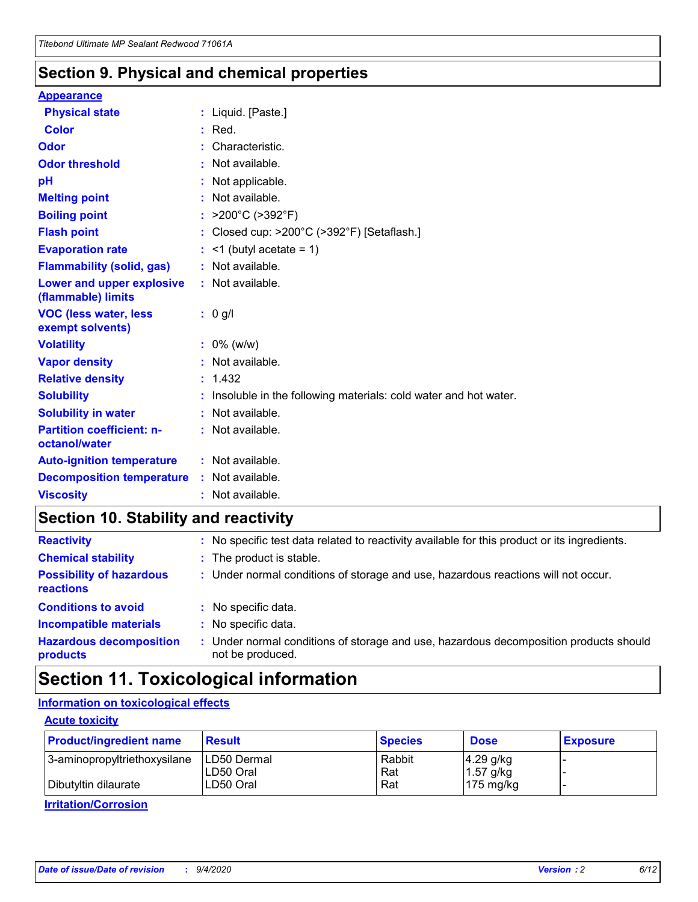### **Section 9. Physical and chemical properties**

#### **Appearance**

| <b>Physical state</b>                                  | : Liquid. [Paste.]                                                |
|--------------------------------------------------------|-------------------------------------------------------------------|
| <b>Color</b>                                           | $:$ Red.                                                          |
| Odor                                                   | Characteristic.                                                   |
| <b>Odor threshold</b>                                  | $:$ Not available.                                                |
| рH                                                     | : Not applicable.                                                 |
| <b>Melting point</b>                                   | : Not available.                                                  |
| <b>Boiling point</b>                                   | : $>200^{\circ}$ C ( $>392^{\circ}$ F)                            |
| <b>Flash point</b>                                     | : Closed cup: $>200^{\circ}$ C ( $>392^{\circ}$ F) [Setaflash.]   |
| <b>Evaporation rate</b>                                | $:$ <1 (butyl acetate = 1)                                        |
| <b>Flammability (solid, gas)</b>                       | : Not available.                                                  |
| <b>Lower and upper explosive</b><br>(flammable) limits | : Not available.                                                  |
| <b>VOC (less water, less</b><br>exempt solvents)       | : 0 g/l                                                           |
|                                                        |                                                                   |
| <b>Volatility</b>                                      | $: 0\%$ (w/w)                                                     |
| <b>Vapor density</b>                                   | : Not available.                                                  |
| <b>Relative density</b>                                | : 1.432                                                           |
| <b>Solubility</b>                                      | : Insoluble in the following materials: cold water and hot water. |
| <b>Solubility in water</b>                             | : Not available.                                                  |
| <b>Partition coefficient: n-</b><br>octanol/water      | $:$ Not available.                                                |
| <b>Auto-ignition temperature</b>                       | $:$ Not available.                                                |
| <b>Decomposition temperature</b>                       | : Not available.                                                  |

### **Section 10. Stability and reactivity**

| <b>Reactivity</b>                            | : No specific test data related to reactivity available for this product or its ingredients.            |
|----------------------------------------------|---------------------------------------------------------------------------------------------------------|
| <b>Chemical stability</b>                    | : The product is stable.                                                                                |
| <b>Possibility of hazardous</b><br>reactions | : Under normal conditions of storage and use, hazardous reactions will not occur.                       |
| <b>Conditions to avoid</b>                   | : No specific data.                                                                                     |
| <b>Incompatible materials</b>                | : No specific data.                                                                                     |
| <b>Hazardous decomposition</b><br>products   | Under normal conditions of storage and use, hazardous decomposition products should<br>not be produced. |

### **Section 11. Toxicological information**

### **Information on toxicological effects**

#### **Acute toxicity**

| <b>Product/ingredient name</b> | <b>Result</b>           | <b>Species</b> | <b>Dose</b>                | <b>Exposure</b> |
|--------------------------------|-------------------------|----------------|----------------------------|-----------------|
| 3-aminopropyltriethoxysilane   | <b>ILD50 Dermal</b>     | Rabbit         | 4.29 g/kg                  |                 |
| Dibutyltin dilaurate           | ILD50 Oral<br>LD50 Oral | Rat<br>Rat     | $1.57$ g/kg<br>175 $mg/kg$ |                 |
|                                |                         |                |                            |                 |

**Irritation/Corrosion**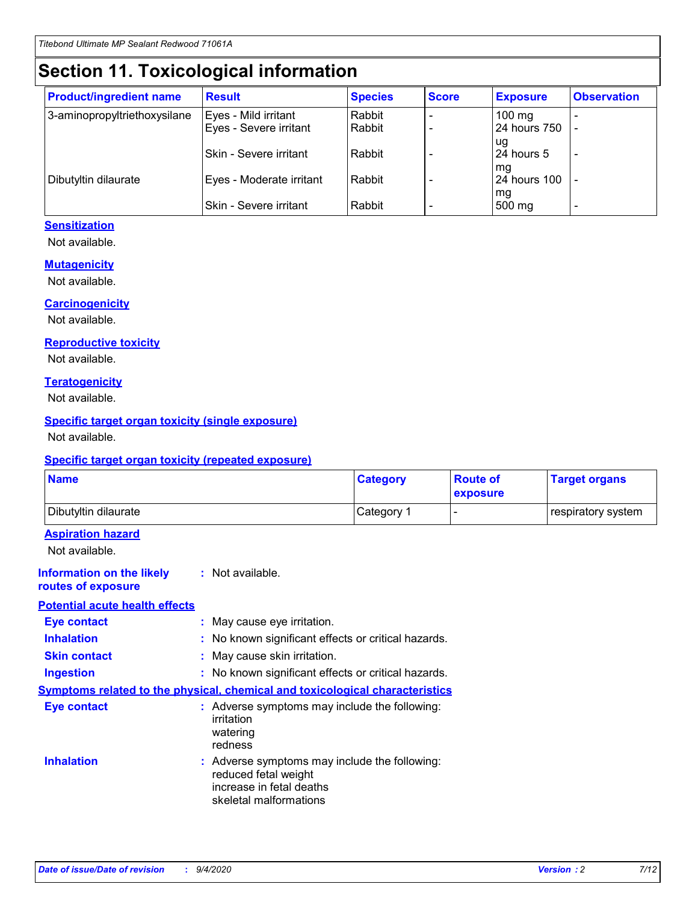# **Section 11. Toxicological information**

| <b>Product/ingredient name</b> | <b>Result</b>            | <b>Species</b> | <b>Score</b> | <b>Exposure</b>           | <b>Observation</b> |
|--------------------------------|--------------------------|----------------|--------------|---------------------------|--------------------|
| 3-aminopropyltriethoxysilane   | Eyes - Mild irritant     | Rabbit         |              | $100$ mg                  |                    |
|                                | Eyes - Severe irritant   | Rabbit         |              | 24 hours 750              |                    |
|                                |                          |                |              | ug                        |                    |
|                                | Skin - Severe irritant   | Rabbit         |              | 24 hours 5                | -                  |
| Dibutyltin dilaurate           | Eyes - Moderate irritant | Rabbit         |              | mq<br><b>24 hours 100</b> |                    |
|                                |                          |                |              | mg                        |                    |
|                                | Skin - Severe irritant   | Rabbit         |              | 500 mg                    |                    |

#### **Sensitization**

Not available.

#### **Mutagenicity**

Not available.

#### **Carcinogenicity**

Not available.

#### **Reproductive toxicity**

Not available.

#### **Teratogenicity**

Not available.

#### **Specific target organ toxicity (single exposure)**

Not available.

#### **Specific target organ toxicity (repeated exposure)**

| <b>Name</b>                                                                         |                                                                            | <b>Category</b>                                     | <b>Route of</b><br>exposure | <b>Target organs</b> |  |  |  |
|-------------------------------------------------------------------------------------|----------------------------------------------------------------------------|-----------------------------------------------------|-----------------------------|----------------------|--|--|--|
| Dibutyltin dilaurate                                                                |                                                                            | Category 1                                          |                             | respiratory system   |  |  |  |
| <b>Aspiration hazard</b><br>Not available.                                          |                                                                            |                                                     |                             |                      |  |  |  |
| <b>Information on the likely</b><br>routes of exposure                              | : Not available.                                                           |                                                     |                             |                      |  |  |  |
| <b>Potential acute health effects</b>                                               |                                                                            |                                                     |                             |                      |  |  |  |
| <b>Eye contact</b>                                                                  | : May cause eye irritation.                                                |                                                     |                             |                      |  |  |  |
| <b>Inhalation</b>                                                                   |                                                                            | : No known significant effects or critical hazards. |                             |                      |  |  |  |
| <b>Skin contact</b>                                                                 |                                                                            | : May cause skin irritation.                        |                             |                      |  |  |  |
| <b>Ingestion</b>                                                                    |                                                                            | : No known significant effects or critical hazards. |                             |                      |  |  |  |
| <b>Symptoms related to the physical, chemical and toxicological characteristics</b> |                                                                            |                                                     |                             |                      |  |  |  |
| <b>Eye contact</b>                                                                  | irritation<br>watering<br>redness                                          | : Adverse symptoms may include the following:       |                             |                      |  |  |  |
| <b>Inhalation</b>                                                                   | reduced fetal weight<br>increase in fetal deaths<br>skeletal malformations | : Adverse symptoms may include the following:       |                             |                      |  |  |  |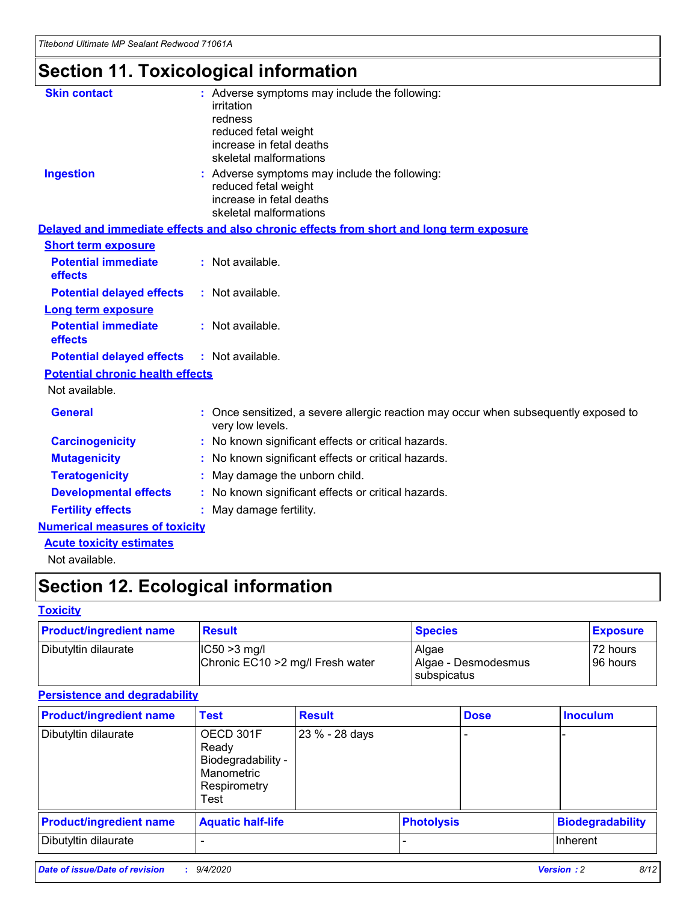# **Section 11. Toxicological information**

| <b>Skin contact</b>                     | : Adverse symptoms may include the following:<br>irritation<br>redness<br>reduced fetal weight<br>increase in fetal deaths<br>skeletal malformations |
|-----------------------------------------|------------------------------------------------------------------------------------------------------------------------------------------------------|
| <b>Ingestion</b>                        | : Adverse symptoms may include the following:<br>reduced fetal weight<br>increase in fetal deaths<br>skeletal malformations                          |
|                                         | Delayed and immediate effects and also chronic effects from short and long term exposure                                                             |
| <b>Short term exposure</b>              |                                                                                                                                                      |
| <b>Potential immediate</b><br>effects   | : Not available.                                                                                                                                     |
| <b>Potential delayed effects</b>        | : Not available.                                                                                                                                     |
| <b>Long term exposure</b>               |                                                                                                                                                      |
| <b>Potential immediate</b><br>effects   | : Not available.                                                                                                                                     |
| <b>Potential delayed effects</b>        | : Not available.                                                                                                                                     |
| <b>Potential chronic health effects</b> |                                                                                                                                                      |
| Not available.                          |                                                                                                                                                      |
| <b>General</b>                          | : Once sensitized, a severe allergic reaction may occur when subsequently exposed to<br>very low levels.                                             |
| <b>Carcinogenicity</b>                  | : No known significant effects or critical hazards.                                                                                                  |
| <b>Mutagenicity</b>                     | No known significant effects or critical hazards.                                                                                                    |
| <b>Teratogenicity</b>                   | May damage the unborn child.                                                                                                                         |
| <b>Developmental effects</b>            | : No known significant effects or critical hazards.                                                                                                  |
| <b>Fertility effects</b>                | : May damage fertility.                                                                                                                              |
| <b>Numerical measures of toxicity</b>   |                                                                                                                                                      |
| <b>Acute toxicity estimates</b>         |                                                                                                                                                      |
| .                                       |                                                                                                                                                      |

Not available.

## **Section 12. Ecological information**

#### **Toxicity**

| <b>Product/ingredient name</b> | <b>Result</b>                                       | <b>Species</b>               | <b>Exposure</b>       |
|--------------------------------|-----------------------------------------------------|------------------------------|-----------------------|
| Dibutyltin dilaurate           | $ CC50>3$ mg/l<br>Chronic EC10 > 2 mg/l Fresh water | Algae<br>Algae - Desmodesmus | 72 hours<br>196 hours |
|                                |                                                     | <b>I</b> subspicatus         |                       |

#### **Persistence and degradability**

| <b>Product/ingredient name</b> | <b>Test</b>                                                                    | <b>Result</b>  |                   | <b>Dose</b> | <b>Inoculum</b>         |
|--------------------------------|--------------------------------------------------------------------------------|----------------|-------------------|-------------|-------------------------|
| Dibutyltin dilaurate           | OECD 301F<br>Ready<br>Biodegradability -<br>Manometric<br>Respirometry<br>Test | 23 % - 28 days |                   |             |                         |
| <b>Product/ingredient name</b> | <b>Aquatic half-life</b>                                                       |                | <b>Photolysis</b> |             | <b>Biodegradability</b> |
| Dibutyltin dilaurate           |                                                                                |                |                   |             | <b>Inherent</b>         |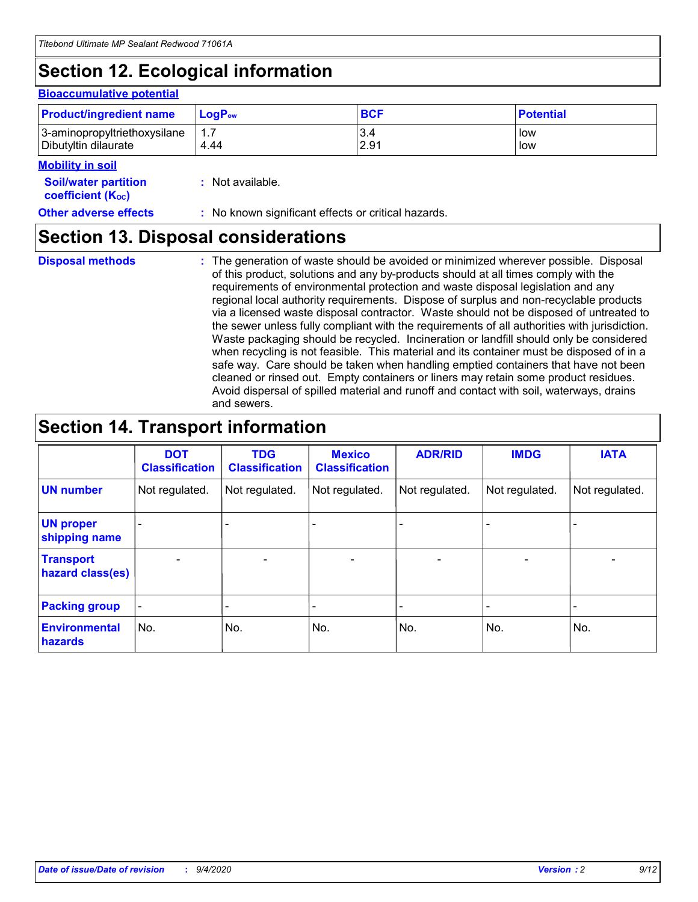## **Section 12. Ecological information**

#### **Bioaccumulative potential**

| <b>Product/ingredient name</b> | <b>LogP</b> <sub>ow</sub> | <b>BCF</b> | <b>Potential</b> |
|--------------------------------|---------------------------|------------|------------------|
| 3-aminopropyltriethoxysilane   | 4.44                      | 3.4        | low              |
| Dibutyltin dilaurate           |                           | 2.91       | low              |

#### **Mobility in soil**

| <b>Soil/water partition</b>    | : Not available. |
|--------------------------------|------------------|
| coefficient (K <sub>oc</sub> ) |                  |

#### **Other adverse effects** : No known significant effects or critical hazards.

### **Section 13. Disposal considerations**

**Disposal methods :**

The generation of waste should be avoided or minimized wherever possible. Disposal of this product, solutions and any by-products should at all times comply with the requirements of environmental protection and waste disposal legislation and any regional local authority requirements. Dispose of surplus and non-recyclable products via a licensed waste disposal contractor. Waste should not be disposed of untreated to the sewer unless fully compliant with the requirements of all authorities with jurisdiction. Waste packaging should be recycled. Incineration or landfill should only be considered when recycling is not feasible. This material and its container must be disposed of in a safe way. Care should be taken when handling emptied containers that have not been cleaned or rinsed out. Empty containers or liners may retain some product residues. Avoid dispersal of spilled material and runoff and contact with soil, waterways, drains and sewers.

### **Section 14. Transport information**

|                                      | <b>DOT</b><br><b>Classification</b> | <b>TDG</b><br><b>Classification</b> | <b>Mexico</b><br><b>Classification</b> | <b>ADR/RID</b>           | <b>IMDG</b>              | <b>IATA</b>    |
|--------------------------------------|-------------------------------------|-------------------------------------|----------------------------------------|--------------------------|--------------------------|----------------|
| <b>UN number</b>                     | Not regulated.                      | Not regulated.                      | Not regulated.                         | Not regulated.           | Not regulated.           | Not regulated. |
| <b>UN proper</b><br>shipping name    |                                     |                                     |                                        |                          |                          |                |
| <b>Transport</b><br>hazard class(es) |                                     | $\overline{\phantom{0}}$            | $\qquad \qquad \blacksquare$           | $\overline{\phantom{0}}$ | $\overline{\phantom{0}}$ |                |
| <b>Packing group</b>                 |                                     |                                     |                                        |                          |                          |                |
| <b>Environmental</b><br>hazards      | No.                                 | No.                                 | No.                                    | No.                      | No.                      | No.            |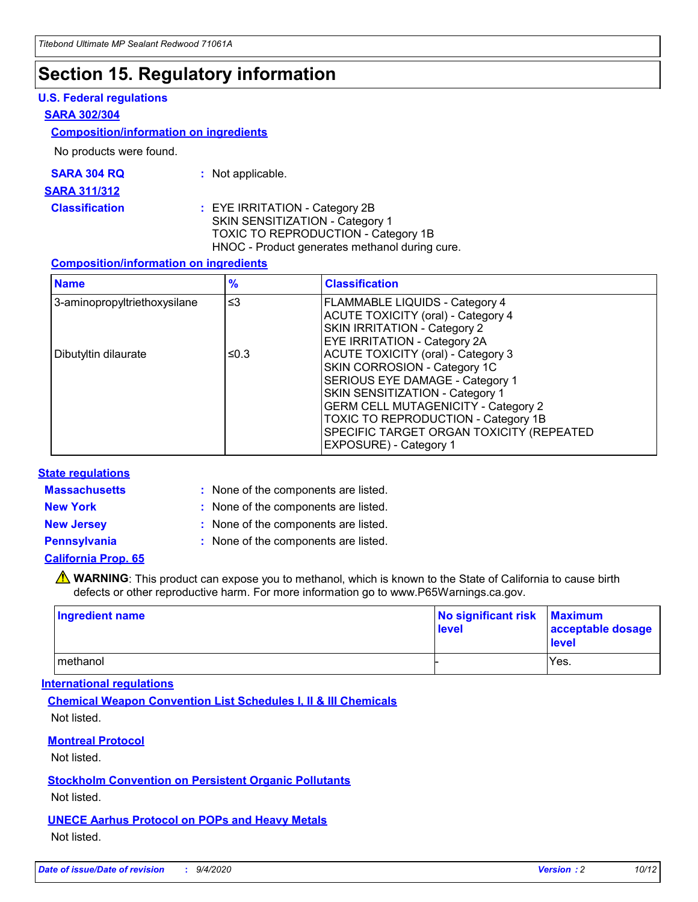### **Section 15. Regulatory information**

#### **U.S. Federal regulations**

#### **SARA 302/304**

#### **Composition/information on ingredients**

No products were found.

| SARA 304 RQ | Not applicable. |
|-------------|-----------------|
|-------------|-----------------|

#### **SARA 311/312**

#### **Classification :** EYE IRRITATION - Category 2B SKIN SENSITIZATION - Category 1 TOXIC TO REPRODUCTION - Category 1B HNOC - Product generates methanol during cure.

#### **Composition/information on ingredients**

| <b>Name</b>                  | $\frac{9}{6}$ | <b>Classification</b>                                                                                                                                                                                                                                                                                      |
|------------------------------|---------------|------------------------------------------------------------------------------------------------------------------------------------------------------------------------------------------------------------------------------------------------------------------------------------------------------------|
| 3-aminopropyltriethoxysilane | $\leq$ 3      | <b>FLAMMABLE LIQUIDS - Category 4</b><br><b>ACUTE TOXICITY (oral) - Category 4</b><br><b>SKIN IRRITATION - Category 2</b><br>EYE IRRITATION - Category 2A                                                                                                                                                  |
| Dibutyltin dilaurate         | ≤0.3          | <b>ACUTE TOXICITY (oral) - Category 3</b><br>SKIN CORROSION - Category 1C<br>SERIOUS EYE DAMAGE - Category 1<br>SKIN SENSITIZATION - Category 1<br><b>GERM CELL MUTAGENICITY - Category 2</b><br>TOXIC TO REPRODUCTION - Category 1B<br>SPECIFIC TARGET ORGAN TOXICITY (REPEATED<br>EXPOSURE) - Category 1 |

#### **State regulations**

**Massachusetts :**

: None of the components are listed.

**New York :** None of the components are listed. **New Jersey :** None of the components are listed.

**Pennsylvania :** None of the components are listed.

#### **California Prop. 65**

WARNING: This product can expose you to methanol, which is known to the State of California to cause birth defects or other reproductive harm. For more information go to www.P65Warnings.ca.gov.

| Ingredient name | No significant risk<br>level | <b>Maximum</b><br>acceptable dosage<br><b>level</b> |
|-----------------|------------------------------|-----------------------------------------------------|
| l methanol      |                              | Yes.                                                |

#### **International regulations**

**Chemical Weapon Convention List Schedules I, II & III Chemicals** Not listed.

#### **Montreal Protocol**

Not listed.

**Stockholm Convention on Persistent Organic Pollutants**

Not listed.

#### **UNECE Aarhus Protocol on POPs and Heavy Metals** Not listed.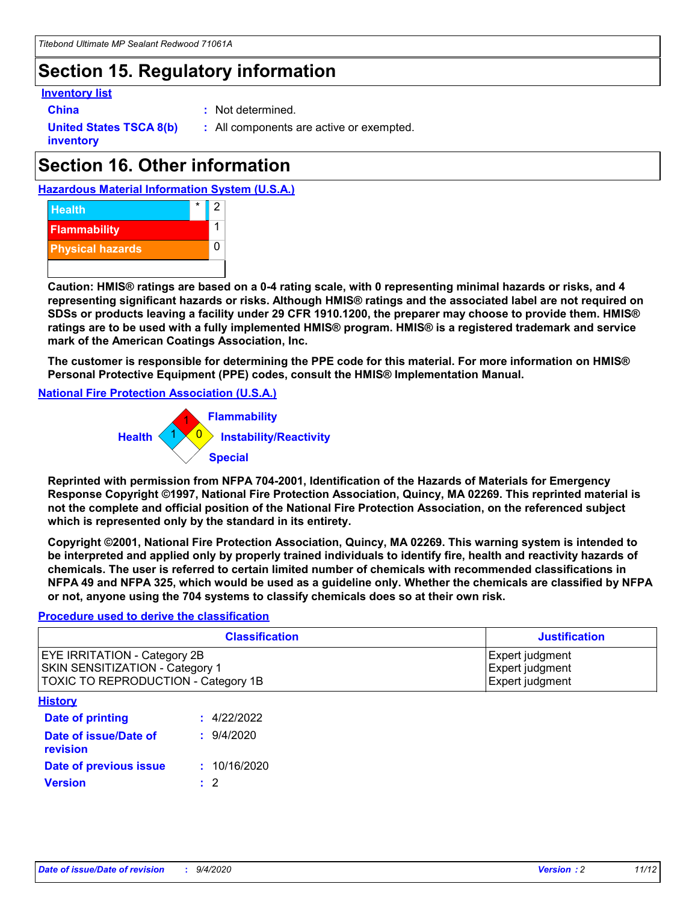### **Section 15. Regulatory information**

#### **Inventory list**

- 
- **China :** Not determined.

**United States TSCA 8(b) inventory**

**:** All components are active or exempted.

### **Section 16. Other information**





**Caution: HMIS® ratings are based on a 0-4 rating scale, with 0 representing minimal hazards or risks, and 4 representing significant hazards or risks. Although HMIS® ratings and the associated label are not required on SDSs or products leaving a facility under 29 CFR 1910.1200, the preparer may choose to provide them. HMIS® ratings are to be used with a fully implemented HMIS® program. HMIS® is a registered trademark and service mark of the American Coatings Association, Inc.**

**The customer is responsible for determining the PPE code for this material. For more information on HMIS® Personal Protective Equipment (PPE) codes, consult the HMIS® Implementation Manual.**

**National Fire Protection Association (U.S.A.)**



**Reprinted with permission from NFPA 704-2001, Identification of the Hazards of Materials for Emergency Response Copyright ©1997, National Fire Protection Association, Quincy, MA 02269. This reprinted material is not the complete and official position of the National Fire Protection Association, on the referenced subject which is represented only by the standard in its entirety.**

**Copyright ©2001, National Fire Protection Association, Quincy, MA 02269. This warning system is intended to be interpreted and applied only by properly trained individuals to identify fire, health and reactivity hazards of chemicals. The user is referred to certain limited number of chemicals with recommended classifications in NFPA 49 and NFPA 325, which would be used as a guideline only. Whether the chemicals are classified by NFPA or not, anyone using the 704 systems to classify chemicals does so at their own risk.**

#### **Procedure used to derive the classification**

| <b>Classification</b>                                                                                                | <b>Justification</b>                                  |
|----------------------------------------------------------------------------------------------------------------------|-------------------------------------------------------|
| <b>EYE IRRITATION - Category 2B</b><br><b>SKIN SENSITIZATION - Category 1</b><br>TOXIC TO REPRODUCTION - Category 1B | Expert judgment<br>Expert judgment<br>Expert judgment |
| <b>History</b>                                                                                                       |                                                       |

| .                                 |              |
|-----------------------------------|--------------|
| <b>Date of printing</b>           | : 4/22/2022  |
| Date of issue/Date of<br>revision | 9/4/2020     |
| Date of previous issue            | : 10/16/2020 |
| <b>Version</b>                    | $\cdot$ 2    |
|                                   |              |